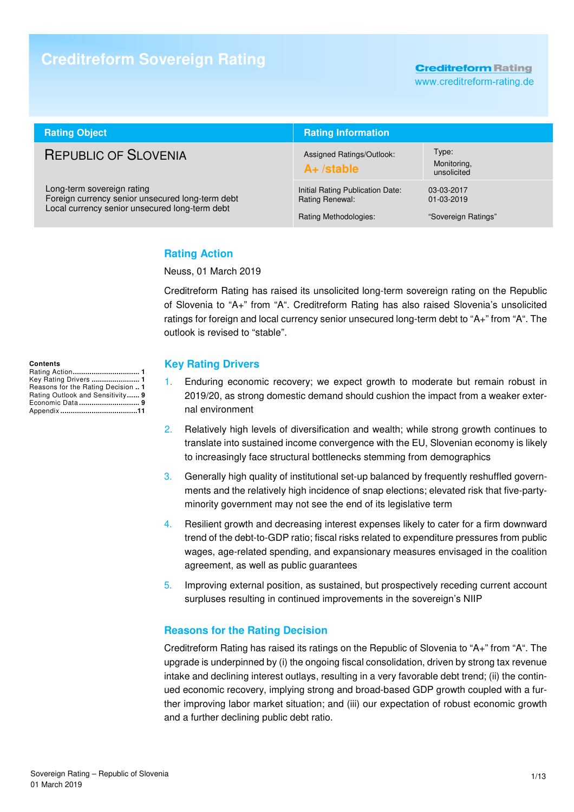# **Creditreform Sovereign Rating**

**Creditreform Rating** 

www.creditreform-rating.de

| <b>Rating Object</b>                                                                                                             | <b>Rating Information</b>                                                    |                                                   |  |
|----------------------------------------------------------------------------------------------------------------------------------|------------------------------------------------------------------------------|---------------------------------------------------|--|
| <b>REPUBLIC OF SLOVENIA</b>                                                                                                      | Assigned Ratings/Outlook:<br>$A+$ /stable                                    | Type:<br>Monitoring,<br>unsolicited               |  |
| Long-term sovereign rating<br>Foreign currency senior unsecured long-term debt<br>Local currency senior unsecured long-term debt | Initial Rating Publication Date:<br>Rating Renewal:<br>Rating Methodologies: | 03-03-2017<br>$01-03-2019$<br>"Sovereign Ratings" |  |

### **Rating Action**

Neuss, 01 March 2019

Creditreform Rating has raised its unsolicited long-term sovereign rating on the Republic of Slovenia to "A+" from "A". Creditreform Rating has also raised Slovenia's unsolicited ratings for foreign and local currency senior unsecured long-term debt to "A+" from "A". The outlook is revised to "stable".

#### **Contents**

| Rating Action 1                    |
|------------------------------------|
| Key Rating Drivers  1              |
| Reasons for the Rating Decision  1 |
| Rating Outlook and Sensitivity 9   |
| Economic Data 9                    |
|                                    |

#### **Key Rating Drivers**

- 1. Enduring economic recovery; we expect growth to moderate but remain robust in 2019/20, as strong domestic demand should cushion the impact from a weaker external environment
- 2. Relatively high levels of diversification and wealth; while strong growth continues to translate into sustained income convergence with the EU, Slovenian economy is likely to increasingly face structural bottlenecks stemming from demographics
- 3. Generally high quality of institutional set-up balanced by frequently reshuffled governments and the relatively high incidence of snap elections; elevated risk that five-partyminority government may not see the end of its legislative term
- 4. Resilient growth and decreasing interest expenses likely to cater for a firm downward trend of the debt-to-GDP ratio; fiscal risks related to expenditure pressures from public wages, age-related spending, and expansionary measures envisaged in the coalition agreement, as well as public guarantees
- 5. Improving external position, as sustained, but prospectively receding current account surpluses resulting in continued improvements in the sovereign's NIIP

#### **Reasons for the Rating Decision**

Creditreform Rating has raised its ratings on the Republic of Slovenia to "A+" from "A". The upgrade is underpinned by (i) the ongoing fiscal consolidation, driven by strong tax revenue intake and declining interest outlays, resulting in a very favorable debt trend; (ii) the continued economic recovery, implying strong and broad-based GDP growth coupled with a further improving labor market situation; and (iii) our expectation of robust economic growth and a further declining public debt ratio.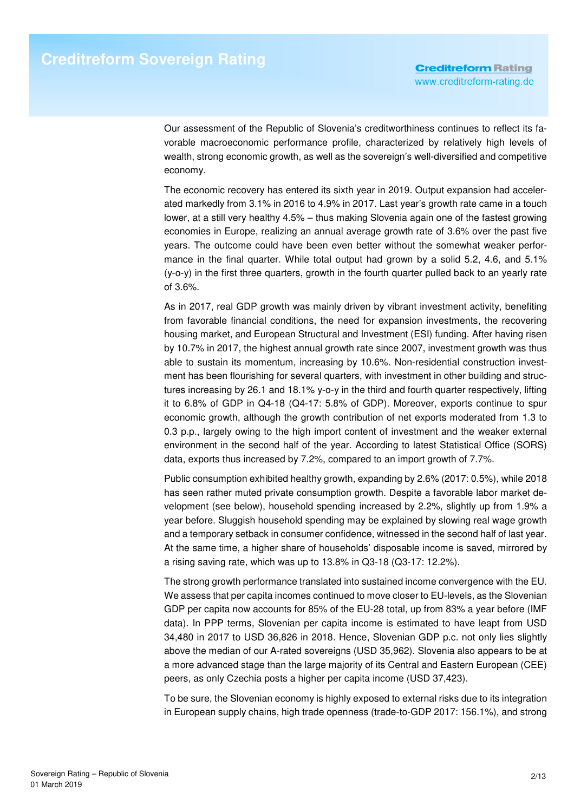Our assessment of the Republic of Slovenia's creditworthiness continues to reflect its favorable macroeconomic performance profile, characterized by relatively high levels of wealth, strong economic growth, as well as the sovereign's well-diversified and competitive economy.

The economic recovery has entered its sixth year in 2019. Output expansion had accelerated markedly from 3.1% in 2016 to 4.9% in 2017. Last year's growth rate came in a touch lower, at a still very healthy 4.5% – thus making Slovenia again one of the fastest growing economies in Europe, realizing an annual average growth rate of 3.6% over the past five years. The outcome could have been even better without the somewhat weaker performance in the final quarter. While total output had grown by a solid 5.2, 4.6, and 5.1% (y-o-y) in the first three quarters, growth in the fourth quarter pulled back to an yearly rate of 3.6%.

As in 2017, real GDP growth was mainly driven by vibrant investment activity, benefiting from favorable financial conditions, the need for expansion investments, the recovering housing market, and European Structural and Investment (ESI) funding. After having risen by 10.7% in 2017, the highest annual growth rate since 2007, investment growth was thus able to sustain its momentum, increasing by 10.6%. Non-residential construction investment has been flourishing for several quarters, with investment in other building and structures increasing by 26.1 and 18.1% y-o-y in the third and fourth quarter respectively, lifting it to 6.8% of GDP in Q4-18 (Q4-17: 5.8% of GDP). Moreover, exports continue to spur economic growth, although the growth contribution of net exports moderated from 1.3 to 0.3 p.p., largely owing to the high import content of investment and the weaker external environment in the second half of the year. According to latest Statistical Office (SORS) data, exports thus increased by 7.2%, compared to an import growth of 7.7%.

Public consumption exhibited healthy growth, expanding by 2.6% (2017: 0.5%), while 2018 has seen rather muted private consumption growth. Despite a favorable labor market development (see below), household spending increased by 2.2%, slightly up from 1.9% a year before. Sluggish household spending may be explained by slowing real wage growth and a temporary setback in consumer confidence, witnessed in the second half of last year. At the same time, a higher share of households' disposable income is saved, mirrored by a rising saving rate, which was up to 13.8% in Q3-18 (Q3-17: 12.2%).

The strong growth performance translated into sustained income convergence with the EU. We assess that per capita incomes continued to move closer to EU-levels, as the Slovenian GDP per capita now accounts for 85% of the EU-28 total, up from 83% a year before (IMF data). In PPP terms, Slovenian per capita income is estimated to have leapt from USD 34,480 in 2017 to USD 36,826 in 2018. Hence, Slovenian GDP p.c. not only lies slightly above the median of our A-rated sovereigns (USD 35,962). Slovenia also appears to be at a more advanced stage than the large majority of its Central and Eastern European (CEE) peers, as only Czechia posts a higher per capita income (USD 37,423).

To be sure, the Slovenian economy is highly exposed to external risks due to its integration in European supply chains, high trade openness (trade-to-GDP 2017: 156.1%), and strong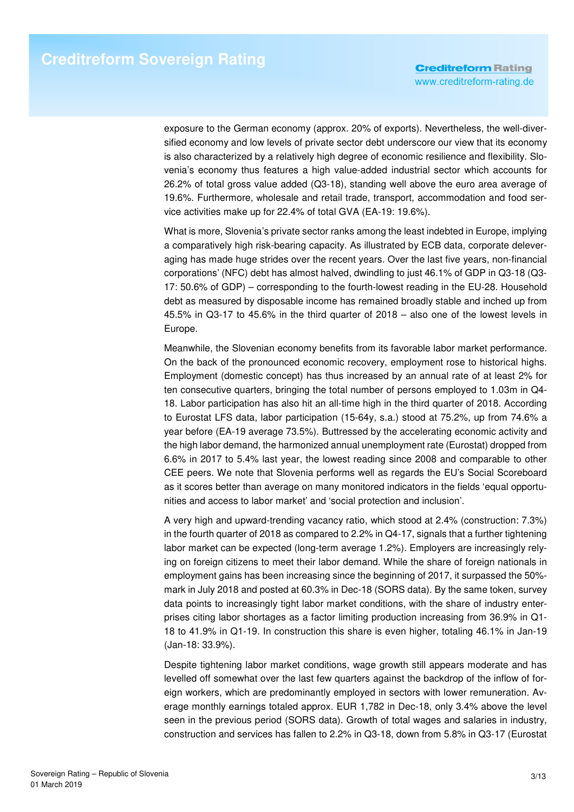exposure to the German economy (approx. 20% of exports). Nevertheless, the well-diversified economy and low levels of private sector debt underscore our view that its economy is also characterized by a relatively high degree of economic resilience and flexibility. Slovenia's economy thus features a high value-added industrial sector which accounts for 26.2% of total gross value added (Q3-18), standing well above the euro area average of 19.6%. Furthermore, wholesale and retail trade, transport, accommodation and food service activities make up for 22.4% of total GVA (EA-19: 19.6%).

What is more, Slovenia's private sector ranks among the least indebted in Europe, implying a comparatively high risk-bearing capacity. As illustrated by ECB data, corporate deleveraging has made huge strides over the recent years. Over the last five years, non-financial corporations' (NFC) debt has almost halved, dwindling to just 46.1% of GDP in Q3-18 (Q3- 17: 50.6% of GDP) – corresponding to the fourth-lowest reading in the EU-28. Household debt as measured by disposable income has remained broadly stable and inched up from 45.5% in Q3-17 to 45.6% in the third quarter of 2018 – also one of the lowest levels in Europe.

Meanwhile, the Slovenian economy benefits from its favorable labor market performance. On the back of the pronounced economic recovery, employment rose to historical highs. Employment (domestic concept) has thus increased by an annual rate of at least 2% for ten consecutive quarters, bringing the total number of persons employed to 1.03m in Q4- 18. Labor participation has also hit an all-time high in the third quarter of 2018. According to Eurostat LFS data, labor participation (15-64y, s.a.) stood at 75.2%, up from 74.6% a year before (EA-19 average 73.5%). Buttressed by the accelerating economic activity and the high labor demand, the harmonized annual unemployment rate (Eurostat) dropped from 6.6% in 2017 to 5.4% last year, the lowest reading since 2008 and comparable to other CEE peers. We note that Slovenia performs well as regards the EU's Social Scoreboard as it scores better than average on many monitored indicators in the fields 'equal opportunities and access to labor market' and 'social protection and inclusion'.

A very high and upward-trending vacancy ratio, which stood at 2.4% (construction: 7.3%) in the fourth quarter of 2018 as compared to 2.2% in Q4-17, signals that a further tightening labor market can be expected (long-term average 1.2%). Employers are increasingly relying on foreign citizens to meet their labor demand. While the share of foreign nationals in employment gains has been increasing since the beginning of 2017, it surpassed the 50% mark in July 2018 and posted at 60.3% in Dec-18 (SORS data). By the same token, survey data points to increasingly tight labor market conditions, with the share of industry enterprises citing labor shortages as a factor limiting production increasing from 36.9% in Q1- 18 to 41.9% in Q1-19. In construction this share is even higher, totaling 46.1% in Jan-19 (Jan-18: 33.9%).

Despite tightening labor market conditions, wage growth still appears moderate and has levelled off somewhat over the last few quarters against the backdrop of the inflow of foreign workers, which are predominantly employed in sectors with lower remuneration. Average monthly earnings totaled approx. EUR 1,782 in Dec-18, only 3.4% above the level seen in the previous period (SORS data). Growth of total wages and salaries in industry, construction and services has fallen to 2.2% in Q3-18, down from 5.8% in Q3-17 (Eurostat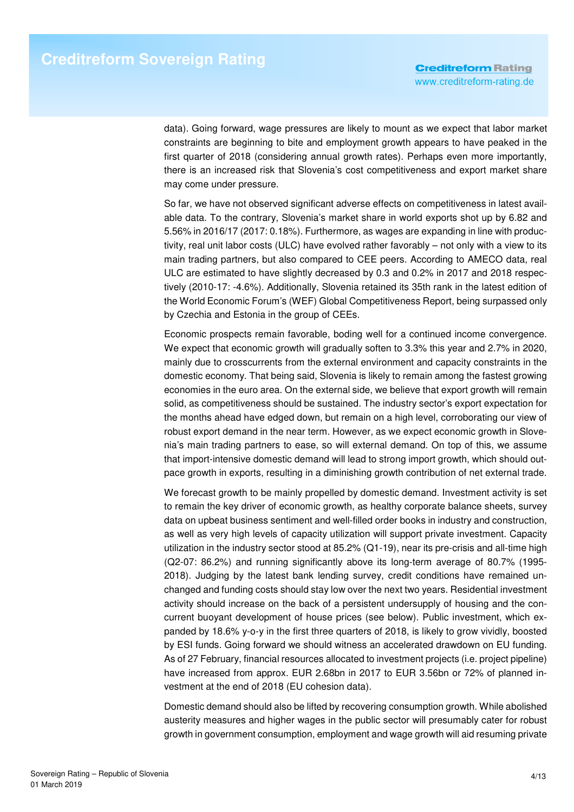data). Going forward, wage pressures are likely to mount as we expect that labor market constraints are beginning to bite and employment growth appears to have peaked in the first quarter of 2018 (considering annual growth rates). Perhaps even more importantly, there is an increased risk that Slovenia's cost competitiveness and export market share may come under pressure.

So far, we have not observed significant adverse effects on competitiveness in latest available data. To the contrary, Slovenia's market share in world exports shot up by 6.82 and 5.56% in 2016/17 (2017: 0.18%). Furthermore, as wages are expanding in line with productivity, real unit labor costs (ULC) have evolved rather favorably – not only with a view to its main trading partners, but also compared to CEE peers. According to AMECO data, real ULC are estimated to have slightly decreased by 0.3 and 0.2% in 2017 and 2018 respectively (2010-17: -4.6%). Additionally, Slovenia retained its 35th rank in the latest edition of the World Economic Forum's (WEF) Global Competitiveness Report, being surpassed only by Czechia and Estonia in the group of CEEs.

Economic prospects remain favorable, boding well for a continued income convergence. We expect that economic growth will gradually soften to 3.3% this year and 2.7% in 2020, mainly due to crosscurrents from the external environment and capacity constraints in the domestic economy. That being said, Slovenia is likely to remain among the fastest growing economies in the euro area. On the external side, we believe that export growth will remain solid, as competitiveness should be sustained. The industry sector's export expectation for the months ahead have edged down, but remain on a high level, corroborating our view of robust export demand in the near term. However, as we expect economic growth in Slovenia's main trading partners to ease, so will external demand. On top of this, we assume that import-intensive domestic demand will lead to strong import growth, which should outpace growth in exports, resulting in a diminishing growth contribution of net external trade.

We forecast growth to be mainly propelled by domestic demand. Investment activity is set to remain the key driver of economic growth, as healthy corporate balance sheets, survey data on upbeat business sentiment and well-filled order books in industry and construction, as well as very high levels of capacity utilization will support private investment. Capacity utilization in the industry sector stood at 85.2% (Q1-19), near its pre-crisis and all-time high (Q2-07: 86.2%) and running significantly above its long-term average of 80.7% (1995- 2018). Judging by the latest bank lending survey, credit conditions have remained unchanged and funding costs should stay low over the next two years. Residential investment activity should increase on the back of a persistent undersupply of housing and the concurrent buoyant development of house prices (see below). Public investment, which expanded by 18.6% y-o-y in the first three quarters of 2018, is likely to grow vividly, boosted by ESI funds. Going forward we should witness an accelerated drawdown on EU funding. As of 27 February, financial resources allocated to investment projects (i.e. project pipeline) have increased from approx. EUR 2.68bn in 2017 to EUR 3.56bn or 72% of planned investment at the end of 2018 (EU cohesion data).

Domestic demand should also be lifted by recovering consumption growth. While abolished austerity measures and higher wages in the public sector will presumably cater for robust growth in government consumption, employment and wage growth will aid resuming private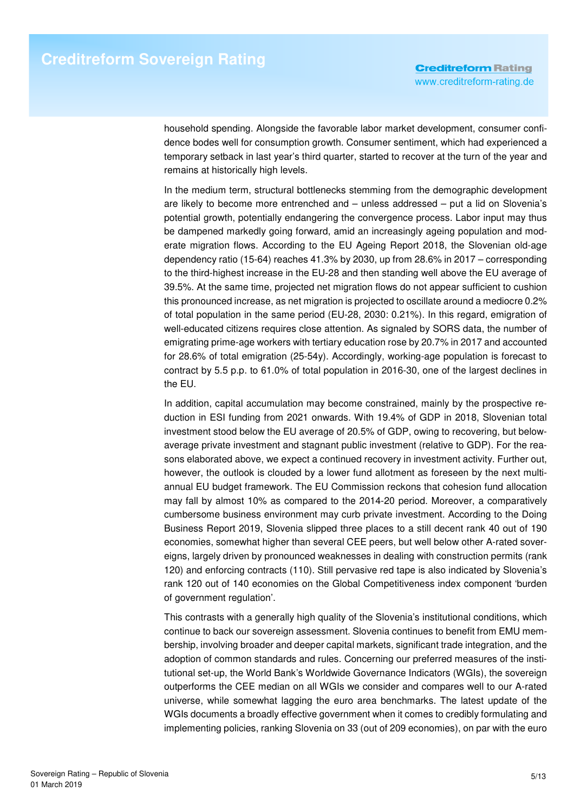household spending. Alongside the favorable labor market development, consumer confidence bodes well for consumption growth. Consumer sentiment, which had experienced a temporary setback in last year's third quarter, started to recover at the turn of the year and remains at historically high levels.

In the medium term, structural bottlenecks stemming from the demographic development are likely to become more entrenched and – unless addressed – put a lid on Slovenia's potential growth, potentially endangering the convergence process. Labor input may thus be dampened markedly going forward, amid an increasingly ageing population and moderate migration flows. According to the EU Ageing Report 2018, the Slovenian old-age dependency ratio (15-64) reaches 41.3% by 2030, up from 28.6% in 2017 – corresponding to the third-highest increase in the EU-28 and then standing well above the EU average of 39.5%. At the same time, projected net migration flows do not appear sufficient to cushion this pronounced increase, as net migration is projected to oscillate around a mediocre 0.2% of total population in the same period (EU-28, 2030: 0.21%). In this regard, emigration of well-educated citizens requires close attention. As signaled by SORS data, the number of emigrating prime-age workers with tertiary education rose by 20.7% in 2017 and accounted for 28.6% of total emigration (25-54y). Accordingly, working-age population is forecast to contract by 5.5 p.p. to 61.0% of total population in 2016-30, one of the largest declines in the EU.

In addition, capital accumulation may become constrained, mainly by the prospective reduction in ESI funding from 2021 onwards. With 19.4% of GDP in 2018, Slovenian total investment stood below the EU average of 20.5% of GDP, owing to recovering, but belowaverage private investment and stagnant public investment (relative to GDP). For the reasons elaborated above, we expect a continued recovery in investment activity. Further out, however, the outlook is clouded by a lower fund allotment as foreseen by the next multiannual EU budget framework. The EU Commission reckons that cohesion fund allocation may fall by almost 10% as compared to the 2014-20 period. Moreover, a comparatively cumbersome business environment may curb private investment. According to the Doing Business Report 2019, Slovenia slipped three places to a still decent rank 40 out of 190 economies, somewhat higher than several CEE peers, but well below other A-rated sovereigns, largely driven by pronounced weaknesses in dealing with construction permits (rank 120) and enforcing contracts (110). Still pervasive red tape is also indicated by Slovenia's rank 120 out of 140 economies on the Global Competitiveness index component 'burden of government regulation'.

This contrasts with a generally high quality of the Slovenia's institutional conditions, which continue to back our sovereign assessment. Slovenia continues to benefit from EMU membership, involving broader and deeper capital markets, significant trade integration, and the adoption of common standards and rules. Concerning our preferred measures of the institutional set-up, the World Bank's Worldwide Governance Indicators (WGIs), the sovereign outperforms the CEE median on all WGIs we consider and compares well to our A-rated universe, while somewhat lagging the euro area benchmarks. The latest update of the WGIs documents a broadly effective government when it comes to credibly formulating and implementing policies, ranking Slovenia on 33 (out of 209 economies), on par with the euro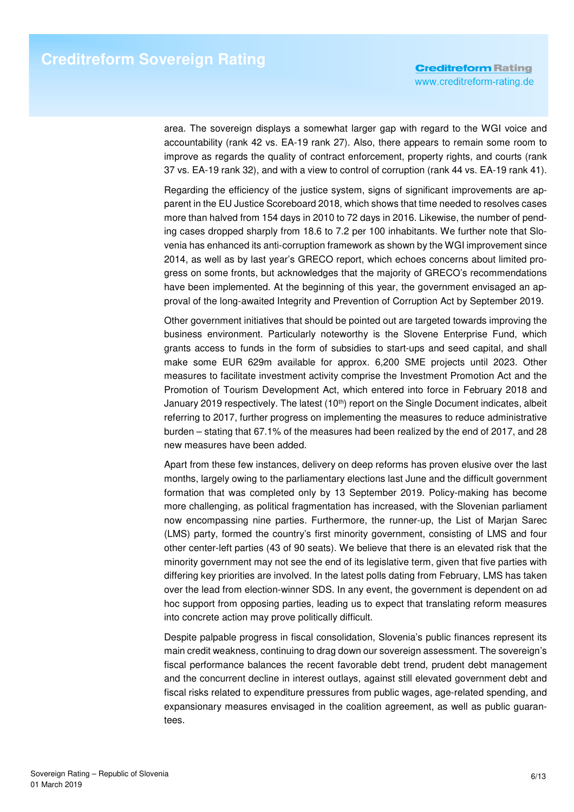area. The sovereign displays a somewhat larger gap with regard to the WGI voice and accountability (rank 42 vs. EA-19 rank 27). Also, there appears to remain some room to improve as regards the quality of contract enforcement, property rights, and courts (rank 37 vs. EA-19 rank 32), and with a view to control of corruption (rank 44 vs. EA-19 rank 41).

Regarding the efficiency of the justice system, signs of significant improvements are apparent in the EU Justice Scoreboard 2018, which shows that time needed to resolves cases more than halved from 154 days in 2010 to 72 days in 2016. Likewise, the number of pending cases dropped sharply from 18.6 to 7.2 per 100 inhabitants. We further note that Slovenia has enhanced its anti-corruption framework as shown by the WGI improvement since 2014, as well as by last year's GRECO report, which echoes concerns about limited progress on some fronts, but acknowledges that the majority of GRECO's recommendations have been implemented. At the beginning of this year, the government envisaged an approval of the long-awaited Integrity and Prevention of Corruption Act by September 2019.

Other government initiatives that should be pointed out are targeted towards improving the business environment. Particularly noteworthy is the Slovene Enterprise Fund, which grants access to funds in the form of subsidies to start-ups and seed capital, and shall make some EUR 629m available for approx. 6,200 SME projects until 2023. Other measures to facilitate investment activity comprise the Investment Promotion Act and the Promotion of Tourism Development Act, which entered into force in February 2018 and January 2019 respectively. The latest  $(10<sup>th</sup>)$  report on the Single Document indicates, albeit referring to 2017, further progress on implementing the measures to reduce administrative burden – stating that 67.1% of the measures had been realized by the end of 2017, and 28 new measures have been added.

Apart from these few instances, delivery on deep reforms has proven elusive over the last months, largely owing to the parliamentary elections last June and the difficult government formation that was completed only by 13 September 2019. Policy-making has become more challenging, as political fragmentation has increased, with the Slovenian parliament now encompassing nine parties. Furthermore, the runner-up, the List of Marjan Sarec (LMS) party, formed the country's first minority government, consisting of LMS and four other center-left parties (43 of 90 seats). We believe that there is an elevated risk that the minority government may not see the end of its legislative term, given that five parties with differing key priorities are involved. In the latest polls dating from February, LMS has taken over the lead from election-winner SDS. In any event, the government is dependent on ad hoc support from opposing parties, leading us to expect that translating reform measures into concrete action may prove politically difficult.

Despite palpable progress in fiscal consolidation, Slovenia's public finances represent its main credit weakness, continuing to drag down our sovereign assessment. The sovereign's fiscal performance balances the recent favorable debt trend, prudent debt management and the concurrent decline in interest outlays, against still elevated government debt and fiscal risks related to expenditure pressures from public wages, age-related spending, and expansionary measures envisaged in the coalition agreement, as well as public guarantees.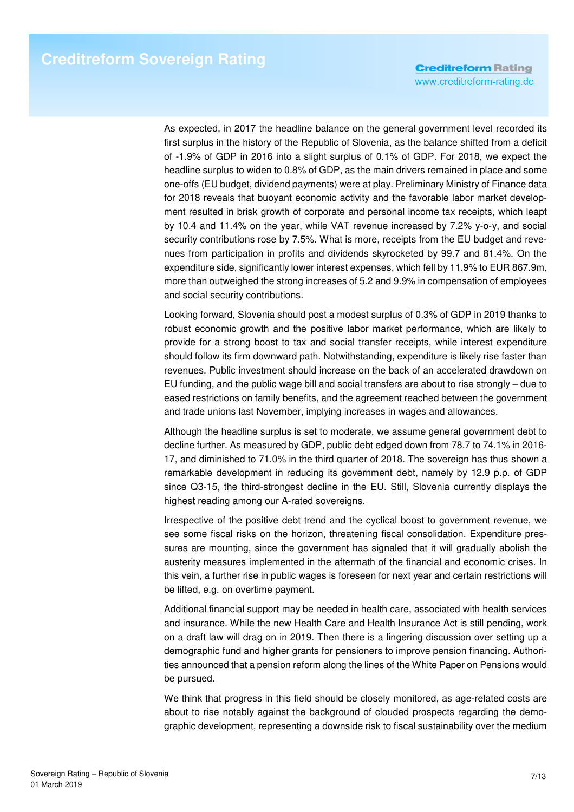As expected, in 2017 the headline balance on the general government level recorded its first surplus in the history of the Republic of Slovenia, as the balance shifted from a deficit of -1.9% of GDP in 2016 into a slight surplus of 0.1% of GDP. For 2018, we expect the headline surplus to widen to 0.8% of GDP, as the main drivers remained in place and some one-offs (EU budget, dividend payments) were at play. Preliminary Ministry of Finance data for 2018 reveals that buoyant economic activity and the favorable labor market development resulted in brisk growth of corporate and personal income tax receipts, which leapt by 10.4 and 11.4% on the year, while VAT revenue increased by 7.2% y-o-y, and social security contributions rose by 7.5%. What is more, receipts from the EU budget and revenues from participation in profits and dividends skyrocketed by 99.7 and 81.4%. On the expenditure side, significantly lower interest expenses, which fell by 11.9% to EUR 867.9m, more than outweighed the strong increases of 5.2 and 9.9% in compensation of employees and social security contributions.

Looking forward, Slovenia should post a modest surplus of 0.3% of GDP in 2019 thanks to robust economic growth and the positive labor market performance, which are likely to provide for a strong boost to tax and social transfer receipts, while interest expenditure should follow its firm downward path. Notwithstanding, expenditure is likely rise faster than revenues. Public investment should increase on the back of an accelerated drawdown on EU funding, and the public wage bill and social transfers are about to rise strongly – due to eased restrictions on family benefits, and the agreement reached between the government and trade unions last November, implying increases in wages and allowances.

Although the headline surplus is set to moderate, we assume general government debt to decline further. As measured by GDP, public debt edged down from 78.7 to 74.1% in 2016- 17, and diminished to 71.0% in the third quarter of 2018. The sovereign has thus shown a remarkable development in reducing its government debt, namely by 12.9 p.p. of GDP since Q3-15, the third-strongest decline in the EU. Still, Slovenia currently displays the highest reading among our A-rated sovereigns.

Irrespective of the positive debt trend and the cyclical boost to government revenue, we see some fiscal risks on the horizon, threatening fiscal consolidation. Expenditure pressures are mounting, since the government has signaled that it will gradually abolish the austerity measures implemented in the aftermath of the financial and economic crises. In this vein, a further rise in public wages is foreseen for next year and certain restrictions will be lifted, e.g. on overtime payment.

Additional financial support may be needed in health care, associated with health services and insurance. While the new Health Care and Health Insurance Act is still pending, work on a draft law will drag on in 2019. Then there is a lingering discussion over setting up a demographic fund and higher grants for pensioners to improve pension financing. Authorities announced that a pension reform along the lines of the White Paper on Pensions would be pursued.

We think that progress in this field should be closely monitored, as age-related costs are about to rise notably against the background of clouded prospects regarding the demographic development, representing a downside risk to fiscal sustainability over the medium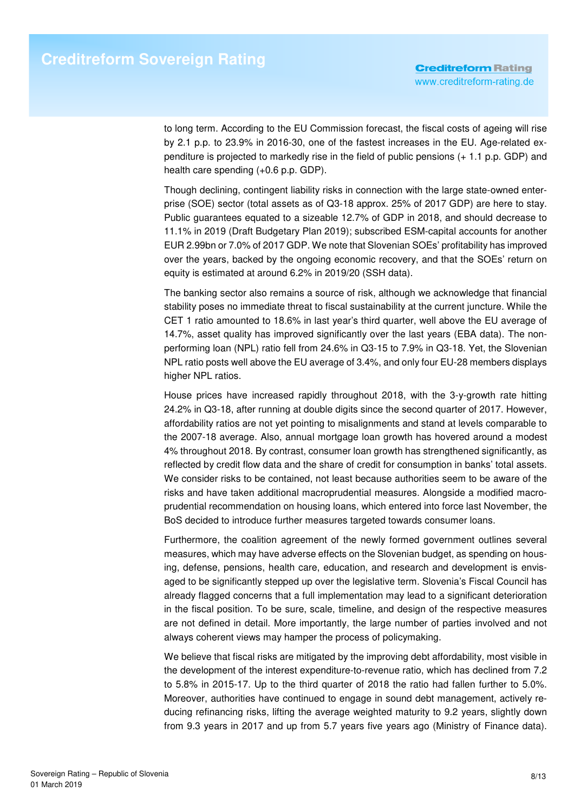to long term. According to the EU Commission forecast, the fiscal costs of ageing will rise by 2.1 p.p. to 23.9% in 2016-30, one of the fastest increases in the EU. Age-related expenditure is projected to markedly rise in the field of public pensions (+ 1.1 p.p. GDP) and health care spending (+0.6 p.p. GDP).

Though declining, contingent liability risks in connection with the large state-owned enterprise (SOE) sector (total assets as of Q3-18 approx. 25% of 2017 GDP) are here to stay. Public guarantees equated to a sizeable 12.7% of GDP in 2018, and should decrease to 11.1% in 2019 (Draft Budgetary Plan 2019); subscribed ESM-capital accounts for another EUR 2.99bn or 7.0% of 2017 GDP. We note that Slovenian SOEs' profitability has improved over the years, backed by the ongoing economic recovery, and that the SOEs' return on equity is estimated at around 6.2% in 2019/20 (SSH data).

The banking sector also remains a source of risk, although we acknowledge that financial stability poses no immediate threat to fiscal sustainability at the current juncture. While the CET 1 ratio amounted to 18.6% in last year's third quarter, well above the EU average of 14.7%, asset quality has improved significantly over the last years (EBA data). The nonperforming loan (NPL) ratio fell from 24.6% in Q3-15 to 7.9% in Q3-18. Yet, the Slovenian NPL ratio posts well above the EU average of 3.4%, and only four EU-28 members displays higher NPL ratios.

House prices have increased rapidly throughout 2018, with the 3-y-growth rate hitting 24.2% in Q3-18, after running at double digits since the second quarter of 2017. However, affordability ratios are not yet pointing to misalignments and stand at levels comparable to the 2007-18 average. Also, annual mortgage loan growth has hovered around a modest 4% throughout 2018. By contrast, consumer loan growth has strengthened significantly, as reflected by credit flow data and the share of credit for consumption in banks' total assets. We consider risks to be contained, not least because authorities seem to be aware of the risks and have taken additional macroprudential measures. Alongside a modified macroprudential recommendation on housing loans, which entered into force last November, the BoS decided to introduce further measures targeted towards consumer loans.

Furthermore, the coalition agreement of the newly formed government outlines several measures, which may have adverse effects on the Slovenian budget, as spending on housing, defense, pensions, health care, education, and research and development is envisaged to be significantly stepped up over the legislative term. Slovenia's Fiscal Council has already flagged concerns that a full implementation may lead to a significant deterioration in the fiscal position. To be sure, scale, timeline, and design of the respective measures are not defined in detail. More importantly, the large number of parties involved and not always coherent views may hamper the process of policymaking.

We believe that fiscal risks are mitigated by the improving debt affordability, most visible in the development of the interest expenditure-to-revenue ratio, which has declined from 7.2 to 5.8% in 2015-17. Up to the third quarter of 2018 the ratio had fallen further to 5.0%. Moreover, authorities have continued to engage in sound debt management, actively reducing refinancing risks, lifting the average weighted maturity to 9.2 years, slightly down from 9.3 years in 2017 and up from 5.7 years five years ago (Ministry of Finance data).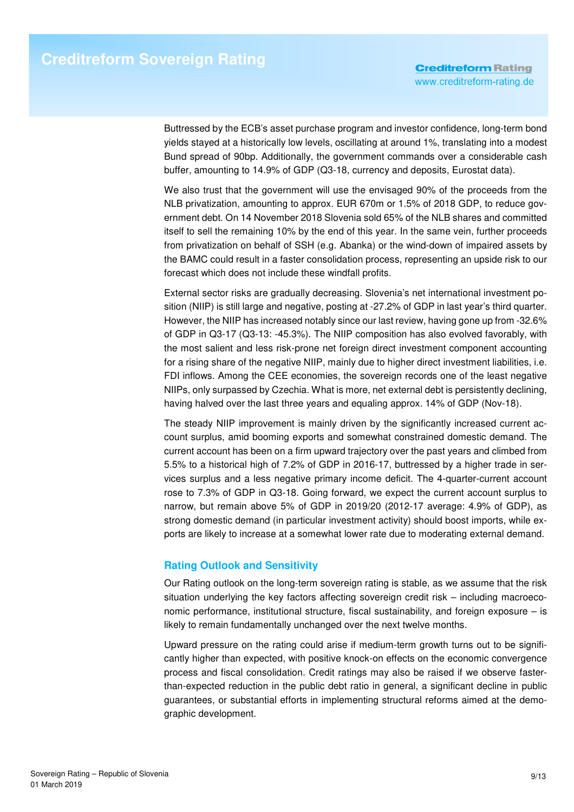Buttressed by the ECB's asset purchase program and investor confidence, long-term bond yields stayed at a historically low levels, oscillating at around 1%, translating into a modest Bund spread of 90bp. Additionally, the government commands over a considerable cash buffer, amounting to 14.9% of GDP (Q3-18, currency and deposits, Eurostat data).

We also trust that the government will use the envisaged 90% of the proceeds from the NLB privatization, amounting to approx. EUR 670m or 1.5% of 2018 GDP, to reduce government debt. On 14 November 2018 Slovenia sold 65% of the NLB shares and committed itself to sell the remaining 10% by the end of this year. In the same vein, further proceeds from privatization on behalf of SSH (e.g. Abanka) or the wind-down of impaired assets by the BAMC could result in a faster consolidation process, representing an upside risk to our forecast which does not include these windfall profits.

External sector risks are gradually decreasing. Slovenia's net international investment position (NIIP) is still large and negative, posting at -27.2% of GDP in last year's third quarter. However, the NIIP has increased notably since our last review, having gone up from -32.6% of GDP in Q3-17 (Q3-13: -45.3%). The NIIP composition has also evolved favorably, with the most salient and less risk-prone net foreign direct investment component accounting for a rising share of the negative NIIP, mainly due to higher direct investment liabilities, i.e. FDI inflows. Among the CEE economies, the sovereign records one of the least negative NIIPs, only surpassed by Czechia. What is more, net external debt is persistently declining, having halved over the last three years and equaling approx. 14% of GDP (Nov-18).

The steady NIIP improvement is mainly driven by the significantly increased current account surplus, amid booming exports and somewhat constrained domestic demand. The current account has been on a firm upward trajectory over the past years and climbed from 5.5% to a historical high of 7.2% of GDP in 2016-17, buttressed by a higher trade in services surplus and a less negative primary income deficit. The 4-quarter-current account rose to 7.3% of GDP in Q3-18. Going forward, we expect the current account surplus to narrow, but remain above 5% of GDP in 2019/20 (2012-17 average: 4.9% of GDP), as strong domestic demand (in particular investment activity) should boost imports, while exports are likely to increase at a somewhat lower rate due to moderating external demand.

### **Rating Outlook and Sensitivity**

Our Rating outlook on the long-term sovereign rating is stable, as we assume that the risk situation underlying the key factors affecting sovereign credit risk – including macroeconomic performance, institutional structure, fiscal sustainability, and foreign exposure  $-$  is likely to remain fundamentally unchanged over the next twelve months.

Upward pressure on the rating could arise if medium-term growth turns out to be significantly higher than expected, with positive knock-on effects on the economic convergence process and fiscal consolidation. Credit ratings may also be raised if we observe fasterthan-expected reduction in the public debt ratio in general, a significant decline in public guarantees, or substantial efforts in implementing structural reforms aimed at the demographic development.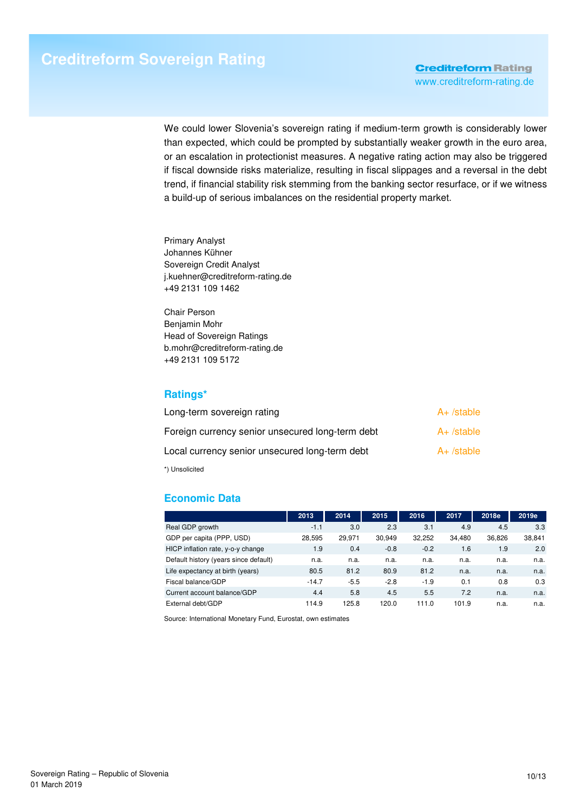We could lower Slovenia's sovereign rating if medium-term growth is considerably lower than expected, which could be prompted by substantially weaker growth in the euro area, or an escalation in protectionist measures. A negative rating action may also be triggered if fiscal downside risks materialize, resulting in fiscal slippages and a reversal in the debt trend, if financial stability risk stemming from the banking sector resurface, or if we witness a build-up of serious imbalances on the residential property market.

Primary Analyst Johannes Kühner Sovereign Credit Analyst j.kuehner@creditreform-rating.de +49 2131 109 1462

Chair Person Benjamin Mohr Head of Sovereign Ratings b.mohr@creditreform-rating.de +49 2131 109 5172

## **Ratings\***

| Long-term sovereign rating                       | $A+$ /stable |
|--------------------------------------------------|--------------|
| Foreign currency senior unsecured long-term debt | $A+$ /stable |
| Local currency senior unsecured long-term debt   | $A+$ /stable |
| *) Unsolicited                                   |              |

# **Economic Data**

|                                       | 2013    | 2014   | 2015   | 2016   | 2017   | 2018e  | 2019e  |
|---------------------------------------|---------|--------|--------|--------|--------|--------|--------|
| Real GDP growth                       | $-1.1$  | 3.0    | 2.3    | 3.1    | 4.9    | 4.5    | 3.3    |
| GDP per capita (PPP, USD)             | 28.595  | 29.971 | 30.949 | 32.252 | 34.480 | 36.826 | 38,841 |
| HICP inflation rate, y-o-y change     | 1.9     | 0.4    | $-0.8$ | $-0.2$ | 1.6    | 1.9    | 2.0    |
| Default history (years since default) | n.a.    | n.a.   | n.a.   | n.a.   | n.a.   | n.a.   | n.a.   |
| Life expectancy at birth (years)      | 80.5    | 81.2   | 80.9   | 81.2   | n.a.   | n.a.   | n.a.   |
| Fiscal balance/GDP                    | $-14.7$ | $-5.5$ | $-2.8$ | $-1.9$ | 0.1    | 0.8    | 0.3    |
| Current account balance/GDP           | 4.4     | 5.8    | 4.5    | 5.5    | 7.2    | n.a.   | n.a.   |
| External debt/GDP                     | 114.9   | 125.8  | 120.0  | 111.0  | 101.9  | n.a.   | n.a.   |

Source: International Monetary Fund, Eurostat, own estimates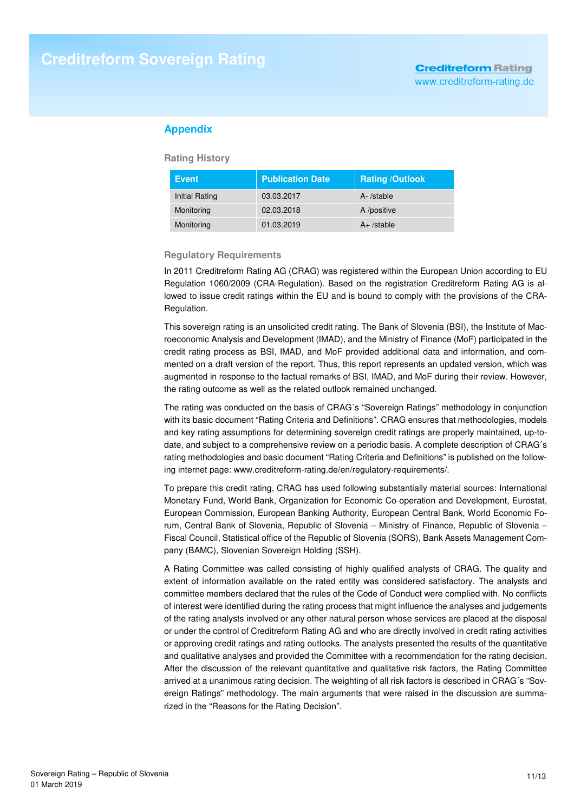### **Appendix**

**Rating History** 

| <b>Event</b>   | <b>Publication Date</b> | <b>Rating /Outlook</b> |
|----------------|-------------------------|------------------------|
| Initial Rating | 03.03.2017              | A-/stable              |
| Monitoring     | 02.03.2018              | A /positive            |
| Monitoring     | 01.03.2019              | $A+$ /stable           |

#### **Regulatory Requirements**

In 2011 Creditreform Rating AG (CRAG) was registered within the European Union according to EU Regulation 1060/2009 (CRA-Regulation). Based on the registration Creditreform Rating AG is allowed to issue credit ratings within the EU and is bound to comply with the provisions of the CRA-Regulation.

This sovereign rating is an unsolicited credit rating. The Bank of Slovenia (BSI), the Institute of Macroeconomic Analysis and Development (IMAD), and the Ministry of Finance (MoF) participated in the credit rating process as BSI, IMAD, and MoF provided additional data and information, and commented on a draft version of the report. Thus, this report represents an updated version, which was augmented in response to the factual remarks of BSI, IMAD, and MoF during their review. However, the rating outcome as well as the related outlook remained unchanged.

The rating was conducted on the basis of CRAG´s "Sovereign Ratings" methodology in conjunction with its basic document "Rating Criteria and Definitions". CRAG ensures that methodologies, models and key rating assumptions for determining sovereign credit ratings are properly maintained, up-todate, and subject to a comprehensive review on a periodic basis. A complete description of CRAG´s rating methodologies and basic document "Rating Criteria and Definitions" is published on the following internet page: www.creditreform-rating.de/en/regulatory-requirements/.

To prepare this credit rating, CRAG has used following substantially material sources: International Monetary Fund, World Bank, Organization for Economic Co-operation and Development, Eurostat, European Commission, European Banking Authority, European Central Bank, World Economic Forum, Central Bank of Slovenia, Republic of Slovenia – Ministry of Finance, Republic of Slovenia – Fiscal Council, Statistical office of the Republic of Slovenia (SORS), Bank Assets Management Company (BAMC), Slovenian Sovereign Holding (SSH).

A Rating Committee was called consisting of highly qualified analysts of CRAG. The quality and extent of information available on the rated entity was considered satisfactory. The analysts and committee members declared that the rules of the Code of Conduct were complied with. No conflicts of interest were identified during the rating process that might influence the analyses and judgements of the rating analysts involved or any other natural person whose services are placed at the disposal or under the control of Creditreform Rating AG and who are directly involved in credit rating activities or approving credit ratings and rating outlooks. The analysts presented the results of the quantitative and qualitative analyses and provided the Committee with a recommendation for the rating decision. After the discussion of the relevant quantitative and qualitative risk factors, the Rating Committee arrived at a unanimous rating decision. The weighting of all risk factors is described in CRAG´s "Sovereign Ratings" methodology. The main arguments that were raised in the discussion are summarized in the "Reasons for the Rating Decision".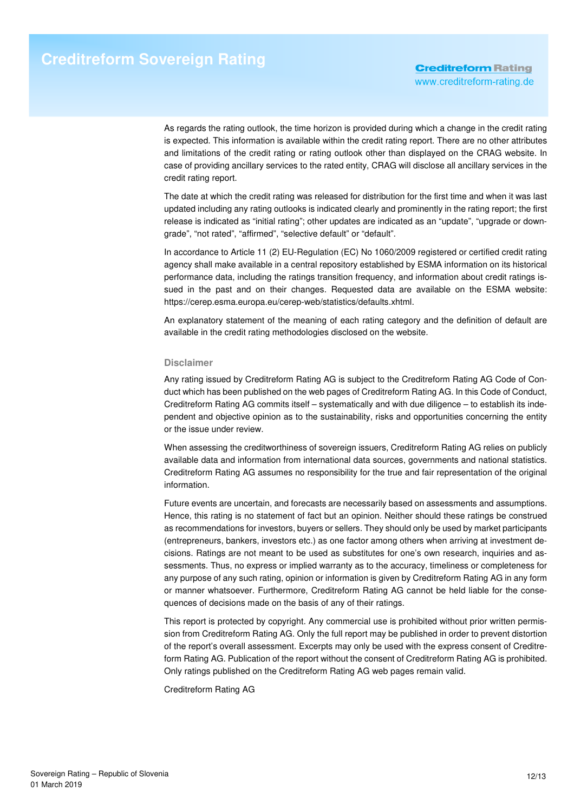As regards the rating outlook, the time horizon is provided during which a change in the credit rating is expected. This information is available within the credit rating report. There are no other attributes and limitations of the credit rating or rating outlook other than displayed on the CRAG website. In case of providing ancillary services to the rated entity, CRAG will disclose all ancillary services in the credit rating report.

The date at which the credit rating was released for distribution for the first time and when it was last updated including any rating outlooks is indicated clearly and prominently in the rating report; the first release is indicated as "initial rating"; other updates are indicated as an "update", "upgrade or downgrade", "not rated", "affirmed", "selective default" or "default".

In accordance to Article 11 (2) EU-Regulation (EC) No 1060/2009 registered or certified credit rating agency shall make available in a central repository established by ESMA information on its historical performance data, including the ratings transition frequency, and information about credit ratings issued in the past and on their changes. Requested data are available on the ESMA website: https://cerep.esma.europa.eu/cerep-web/statistics/defaults.xhtml.

An explanatory statement of the meaning of each rating category and the definition of default are available in the credit rating methodologies disclosed on the website.

#### **Disclaimer**

Any rating issued by Creditreform Rating AG is subject to the Creditreform Rating AG Code of Conduct which has been published on the web pages of Creditreform Rating AG. In this Code of Conduct, Creditreform Rating AG commits itself – systematically and with due diligence – to establish its independent and objective opinion as to the sustainability, risks and opportunities concerning the entity or the issue under review.

When assessing the creditworthiness of sovereign issuers, Creditreform Rating AG relies on publicly available data and information from international data sources, governments and national statistics. Creditreform Rating AG assumes no responsibility for the true and fair representation of the original information.

Future events are uncertain, and forecasts are necessarily based on assessments and assumptions. Hence, this rating is no statement of fact but an opinion. Neither should these ratings be construed as recommendations for investors, buyers or sellers. They should only be used by market participants (entrepreneurs, bankers, investors etc.) as one factor among others when arriving at investment decisions. Ratings are not meant to be used as substitutes for one's own research, inquiries and assessments. Thus, no express or implied warranty as to the accuracy, timeliness or completeness for any purpose of any such rating, opinion or information is given by Creditreform Rating AG in any form or manner whatsoever. Furthermore, Creditreform Rating AG cannot be held liable for the consequences of decisions made on the basis of any of their ratings.

This report is protected by copyright. Any commercial use is prohibited without prior written permission from Creditreform Rating AG. Only the full report may be published in order to prevent distortion of the report's overall assessment. Excerpts may only be used with the express consent of Creditreform Rating AG. Publication of the report without the consent of Creditreform Rating AG is prohibited. Only ratings published on the Creditreform Rating AG web pages remain valid.

Creditreform Rating AG